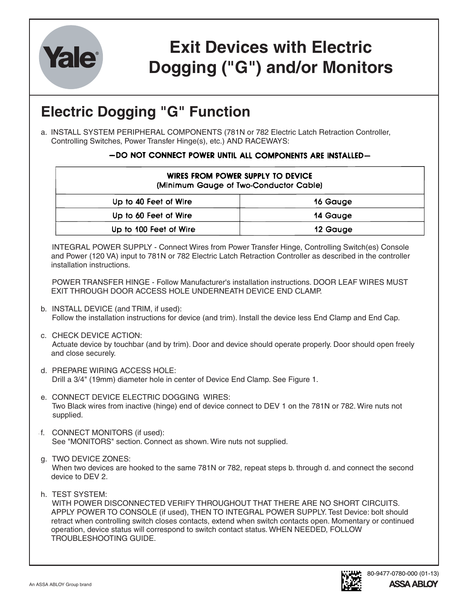

## **Exit Devices with Electric Dogging ("G") and/or Monitors**

## **Electric Dogging "G" Function**

a. INSTALL SYSTEM PERIPHERAL COMPONENTS (781N or 782 Electric Latch Retraction Controller, Controlling Switches, Power Transfer Hinge(s), etc.) AND RACEWAYS:

## -DO NOT CONNECT POWER UNTIL ALL COMPONENTS ARE INSTALLED-

| WIRES FROM POWER SUPPLY TO DEVICE<br>(Minimum Gauge of Two-Conductor Cable) |          |
|-----------------------------------------------------------------------------|----------|
| Up to 40 Feet of Wire                                                       | 16 Gauge |
| Up to 60 Feet of Wire                                                       | 14 Gauge |
| Up to 100 Feet of Wire                                                      | 12 Gauge |

INTEGRAL POWER SUPPLY - Connect Wires from Power Transfer Hinge, Controlling Switch(es) Console and Power (120 VA) input to 781N or 782 Electric Latch Retraction Controller as described in the controller installation instructions.

POWER TRANSFER HINGE - Follow Manufacturer's installation instructions. DOOR LEAF WIRES MUST EXIT THROUGH DOOR ACCESS HOLE UNDERNEATH DEVICE END CLAMP.

- b. INSTALL DEVICE (and TRIM, if used): Follow the installation instructions for device (and trim). Install the device less End Clamp and End Cap.
- c. CHECK DEVICE ACTION:

Actuate device by touchbar (and by trim). Door and device should operate properly. Door should open freely and close securely.

- d. PREPARE WIRING ACCESS HOLE: Drill a 3/4" (19mm) diameter hole in center of Device End Clamp. See Figure 1.
- e. CONNECT DEVICE ELECTRIC DOGGING WIRES: Two Black wires from inactive (hinge) end of device connect to DEV 1 on the 781N or 782. Wire nuts not supplied.
- f. CONNECT MONITORS (if used): See "MONITORS" section. Connect as shown. Wire nuts not supplied.
- g. TWO DEVICE ZONES:

When two devices are hooked to the same 781N or 782, repeat steps b. through d. and connect the second device to DEV 2.

h. TEST SYSTEM:

WITH POWER DISCONNECTED VERIFY THROUGHOUT THAT THERE ARE NO SHORT CIRCUITS. APPLY POWER TO CONSOLE (if used), THEN TO INTEGRAL POWER SUPPLY. Test Device: bolt should retract when controlling switch closes contacts, extend when switch contacts open. Momentary or continued operation, device status will correspond to switch contact status. WHEN NEEDED, FOLLOW TROUBLESHOOTING GUIDE.